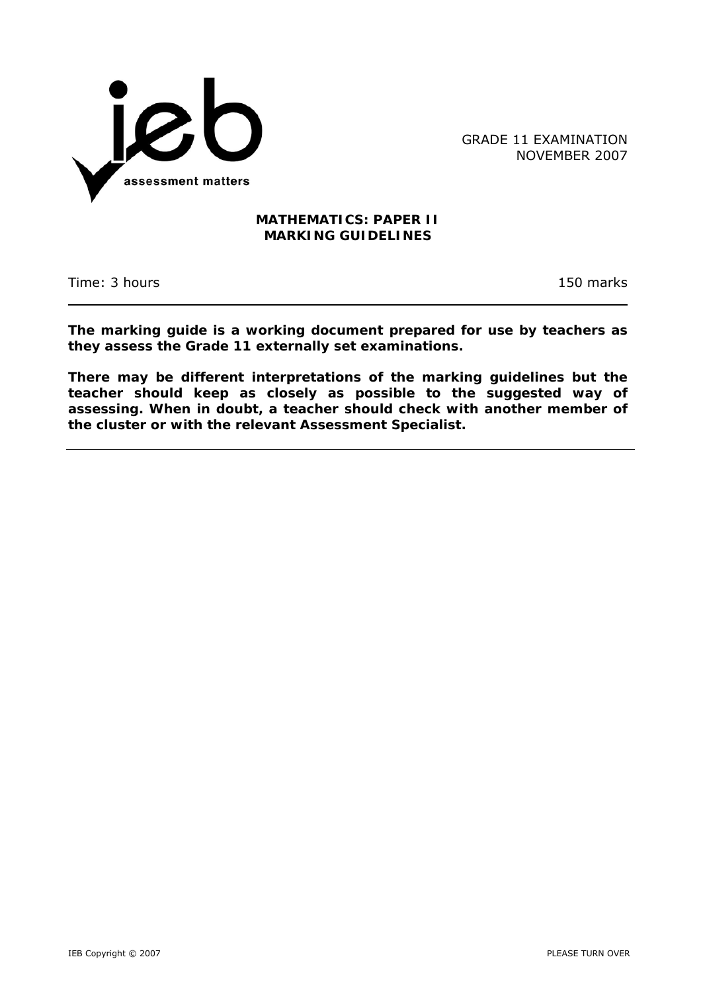

GRADE 11 EXAMINATION NOVEMBER 2007

## **MATHEMATICS: PAPER II MARKING GUIDELINES**

Time: 3 hours 150 marks

**The marking guide is a working document prepared for use by teachers as they assess the Grade 11 externally set examinations.** 

**There may be different interpretations of the marking guidelines but the teacher should keep as closely as possible to the suggested way of assessing. When in doubt, a teacher should check with another member of the cluster or with the relevant Assessment Specialist.**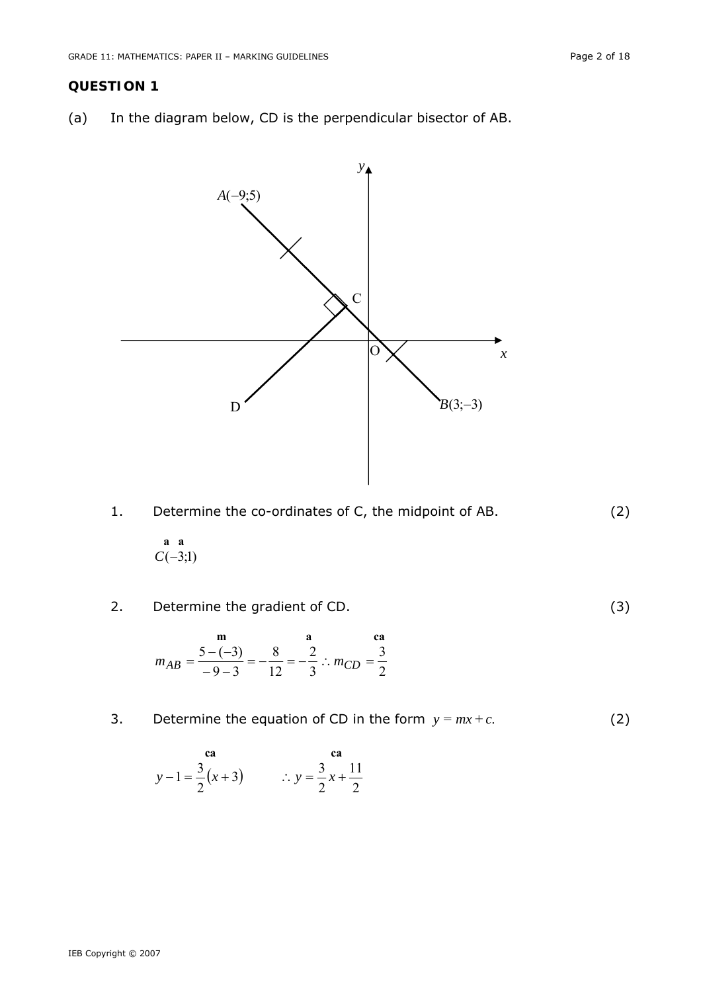## **QUESTION 1**

(a) In the diagram below, CD is the perpendicular bisector of AB.





 **a a**   $C(-3;1)$ 

2. Determine the gradient of CD. (3)

$$
m_{AB} = \frac{5 - (-3)}{-9 - 3} = -\frac{8}{12} = -\frac{2}{3} \therefore m_{CD} = \frac{3}{2}
$$

3. Determine the equation of CD in the form  $y = mx + c$ . (2)

$$
y-1 = \frac{3}{2}(x+3)
$$
  $\therefore y = \frac{3}{2}x + \frac{11}{2}$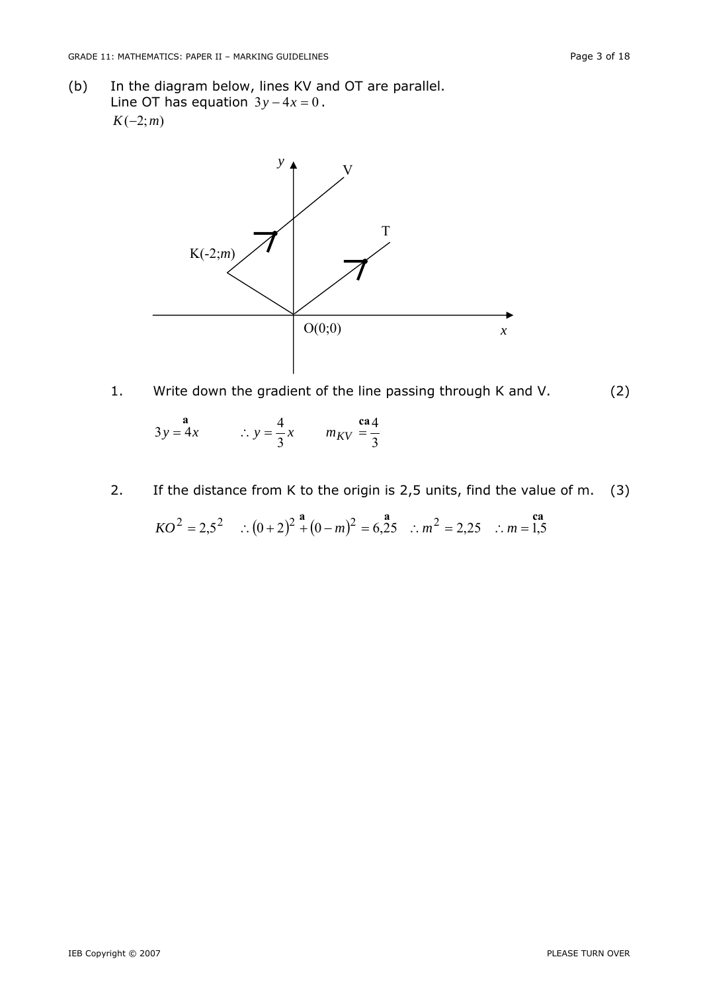(b) In the diagram below, lines KV and OT are parallel. Line OT has equation  $3y - 4x = 0$ .  $K(-2; m)$ 



1. Write down the gradient of the line passing through K and V. (2)

 $3y = 4x$   $\therefore y = \frac{4}{3}x$   $m_{KV} = \frac{6a}{3}$  $3y = 4x$   $\therefore y = \frac{4}{3}x$   $m_{KV} = \frac{64}{3}$ 

2. If the distance from K to the origin is 2,5 units, find the value of *m*. (3)

$$
KO^2 = 2.5^2 \quad \therefore (0+2)^2 \stackrel{\mathbf{a}}{+} (0-m)^2 = 6.25 \quad \therefore m^2 = 2.25 \quad \therefore m = 1.5
$$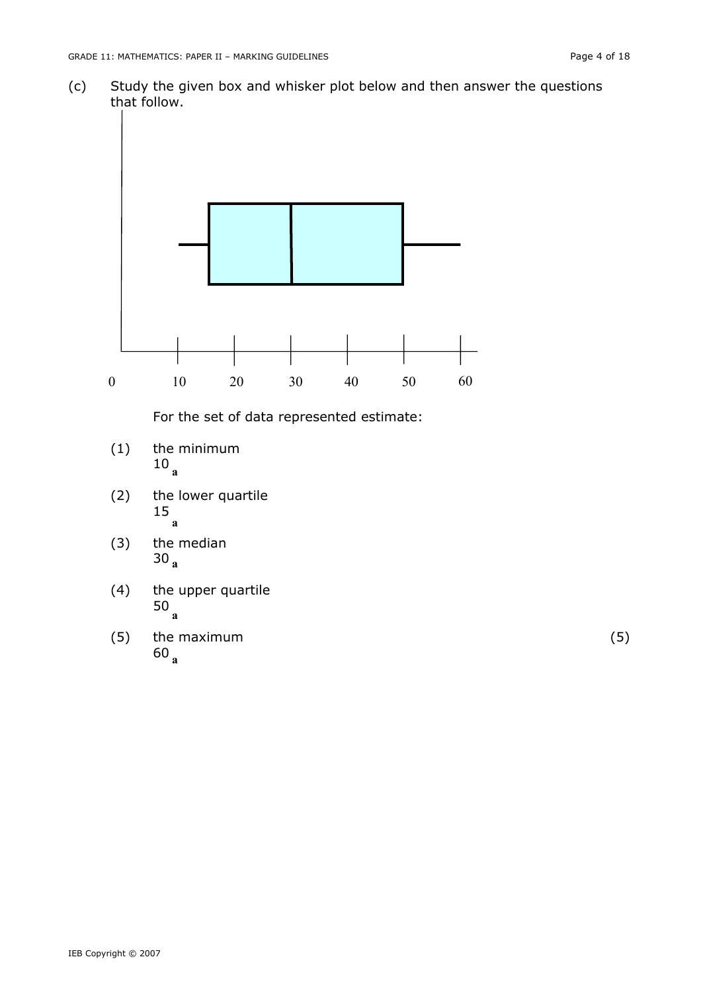(c) Study the given box and whisker plot below and then answer the questions that follow.



- (3) the median 30 **<sup>a</sup>**
- (4) the upper quartile 50 **a**
- (5) the maximum (5) <sup>60</sup>**a**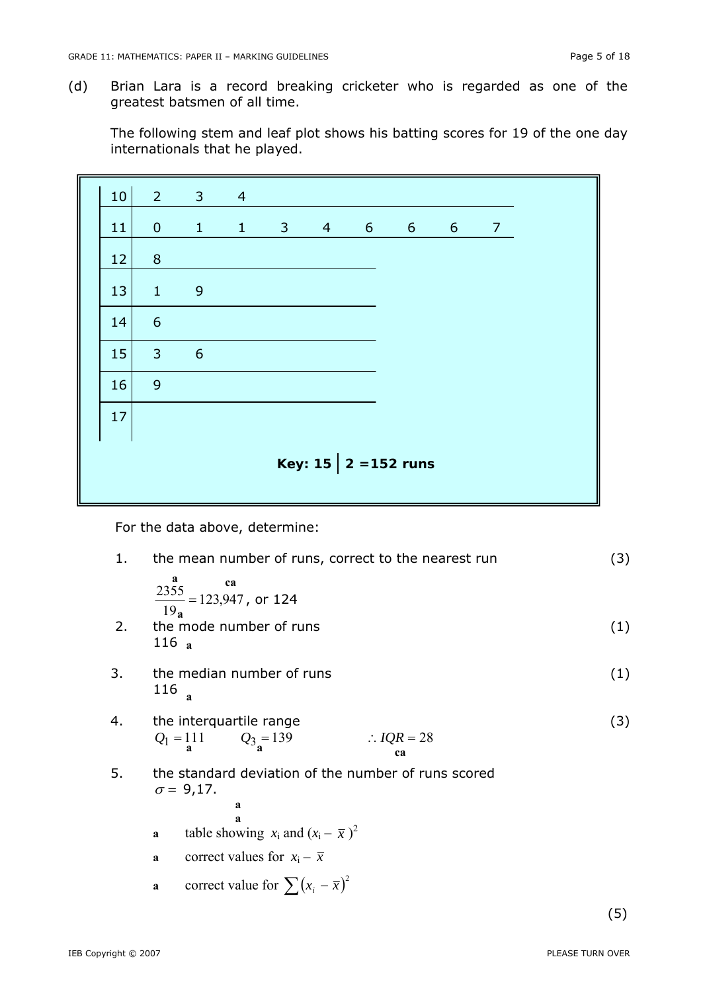(d) Brian Lara is a record breaking cricketer who is regarded as one of the greatest batsmen of all time.

 The following stem and leaf plot shows his batting scores for 19 of the one day internationals that he played.

| 10 <sup>1</sup> |                 | $2 \qquad 3 \qquad 4$ |  |  |                          |  |
|-----------------|-----------------|-----------------------|--|--|--------------------------|--|
| 11              |                 | 0 1 1 3 4 6 6 6 7     |  |  |                          |  |
| 12              | 8               |                       |  |  |                          |  |
| 13              | $1 \qquad 9$    |                       |  |  |                          |  |
| 14              | $6\overline{6}$ |                       |  |  |                          |  |
| 15              | $3 \t 6$        |                       |  |  |                          |  |
| 16              | 9               |                       |  |  |                          |  |
| 17              |                 |                       |  |  |                          |  |
|                 |                 |                       |  |  | Key: 15 $  2 = 152$ runs |  |

For the data above, determine:

| 1. | the mean number of runs, correct to the nearest run                                           | (3) |
|----|-----------------------------------------------------------------------------------------------|-----|
| 2. | a<br>ca<br>$\frac{2355}{100}$ = 123,947, or 124<br>19 <sub>a</sub><br>the mode number of runs | (1) |
|    | $116_a$                                                                                       |     |
| 3. | the median number of runs<br>116<br>a                                                         | (1) |
| 4. | the interquartile range<br>$Q_1 = 111$ $Q_3 = 139$<br>$\therefore IQR = 28$<br>ca             | (3) |
| 5. | the standard deviation of the number of runs scored<br>$\sigma = 9,17$ .<br>a<br>a            |     |
|    | table showing $x_i$ and $(x_i - \overline{x})^2$<br>a                                         |     |
|    | correct values for $x_i - \overline{x}$<br>a                                                  |     |
|    | correct value for $\sum (x_i - \bar{x})^2$<br>$\mathbf a$                                     |     |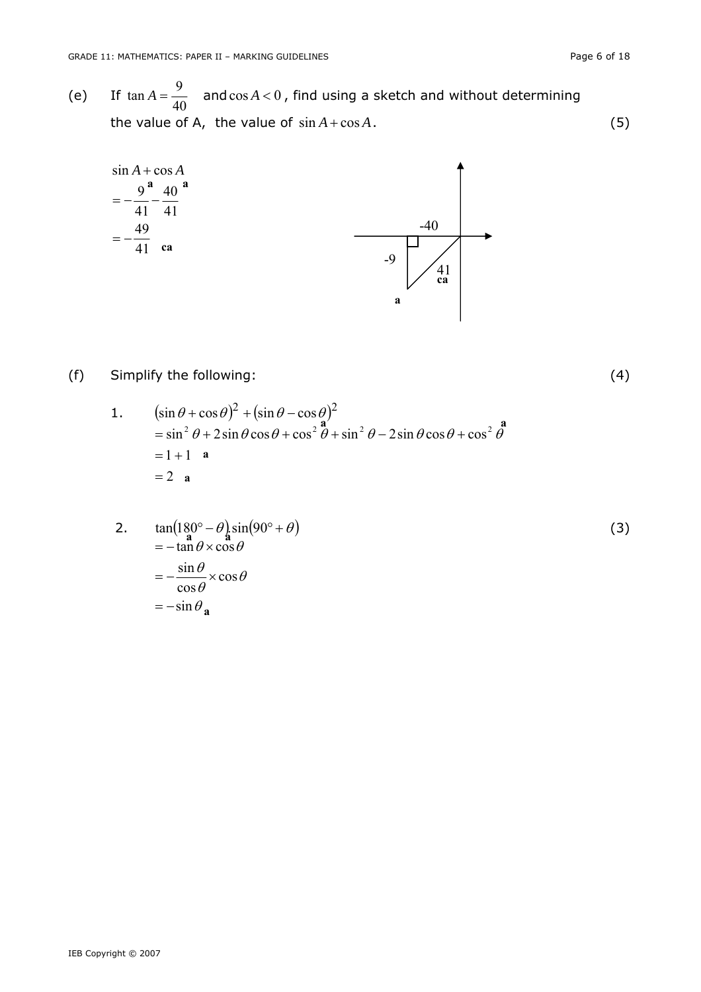(e) If  $\tan A = \frac{9}{40}$  and  $\cos A < 0$ , find using a sketch and without determining the value of *A*, the value of  $\sin A + \cos A$ . (5)



## (f) Simplify the following: (4)

1.  $(\sin \theta + \cos \theta)^2 + (\sin \theta - \cos \theta)^2$  $\sin^2 \theta + 2 \sin \theta \cos \theta + \cos^2 \theta + \sin^2 \theta - 2 \sin \theta \cos \theta + \cos^2 \theta$  $= 2 \quad \mathbf{a}$  $= 1 + 1$  **a**  $\mathbf{a}'$  **a a a a a** 

2. 
$$
\tan(180^\circ - \theta) \sin(90^\circ + \theta) = -\tan \theta \times \cos \theta
$$
  
= 
$$
-\frac{\sin \theta}{\cos \theta} \times \cos \theta
$$
  
= 
$$
-\sin \theta_{\mathbf{a}}
$$
 (3)

IEB Copyright © 2007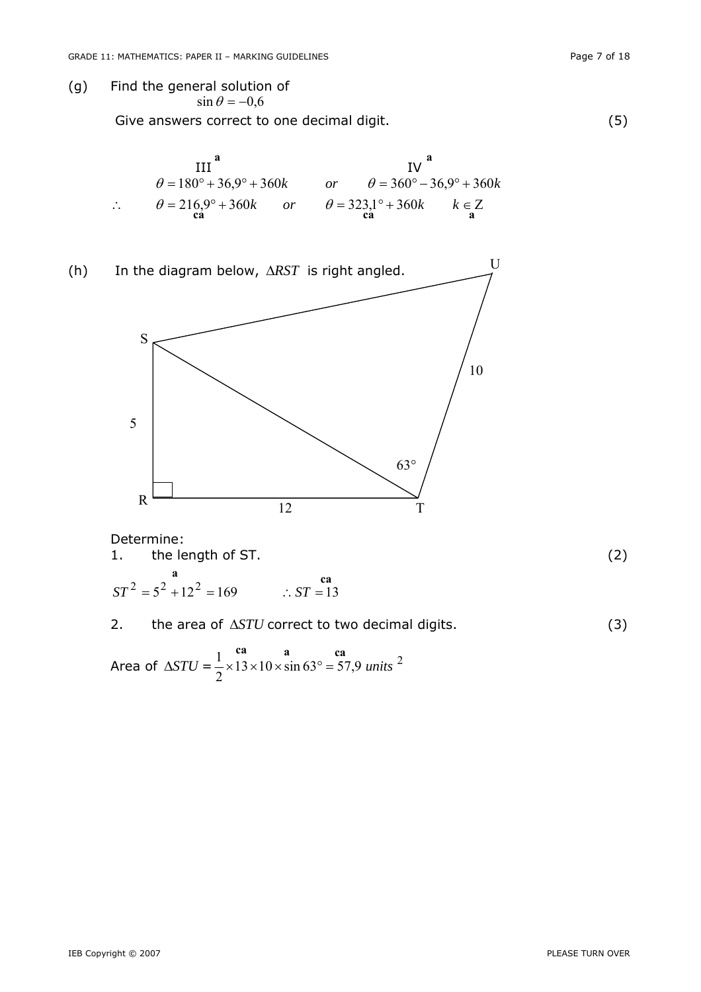Give answers correct to one decimal digit. (5)



(h) In the diagram below, Δ*RST* is right angled. S T R U 12 5 63° 10

Determine: 1. the length of ST. (2)  $ST^2 = 5^2 + 12^2 = 169$  ∴  $ST = 13$ **a ca** 



Area of  $\Delta STU = \frac{1}{2} \times 13 \times 10 \times \sin 63^\circ = 57.9$  units<sup>2</sup>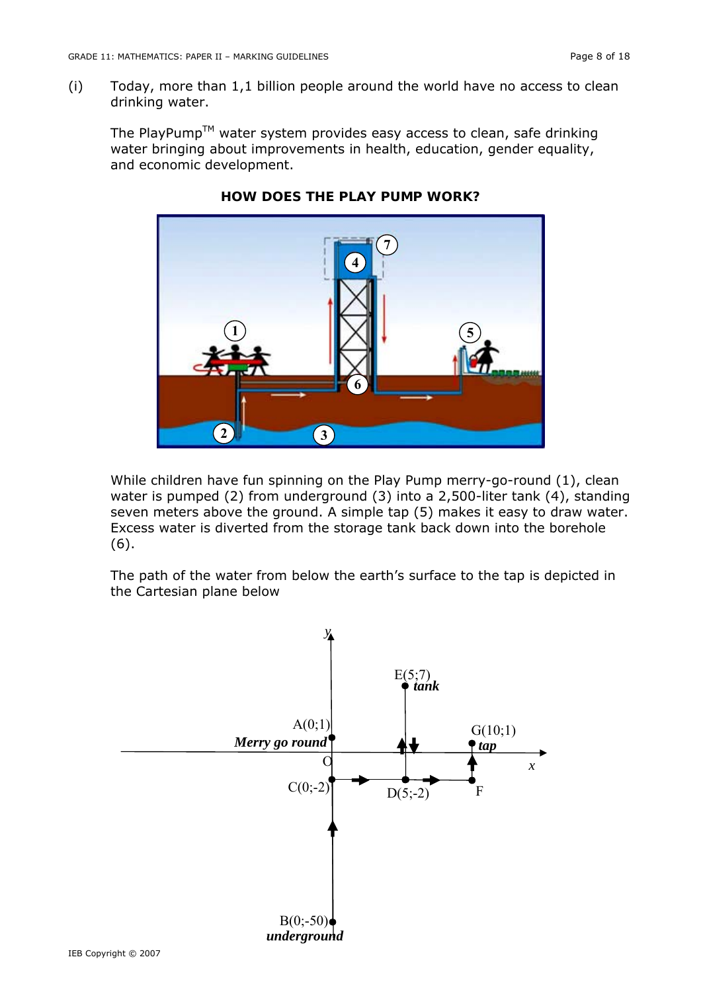(i) Today, more than 1,1 billion people around the world have no access to clean drinking water.

The PlayPump<sup>TM</sup> water system provides easy access to clean, safe drinking water bringing about improvements in health, education, gender equality, and economic development.



# **HOW DOES THE PLAY PUMP WORK?**

While children have fun spinning on the Play Pump merry-go-round (1), clean water is pumped (2) from underground (3) into a 2,500-liter tank (4), standing seven meters above the ground. A simple tap (5) makes it easy to draw water. Excess water is diverted from the storage tank back down into the borehole (6).

The path of the water from below the earth's surface to the tap is depicted in the Cartesian plane below

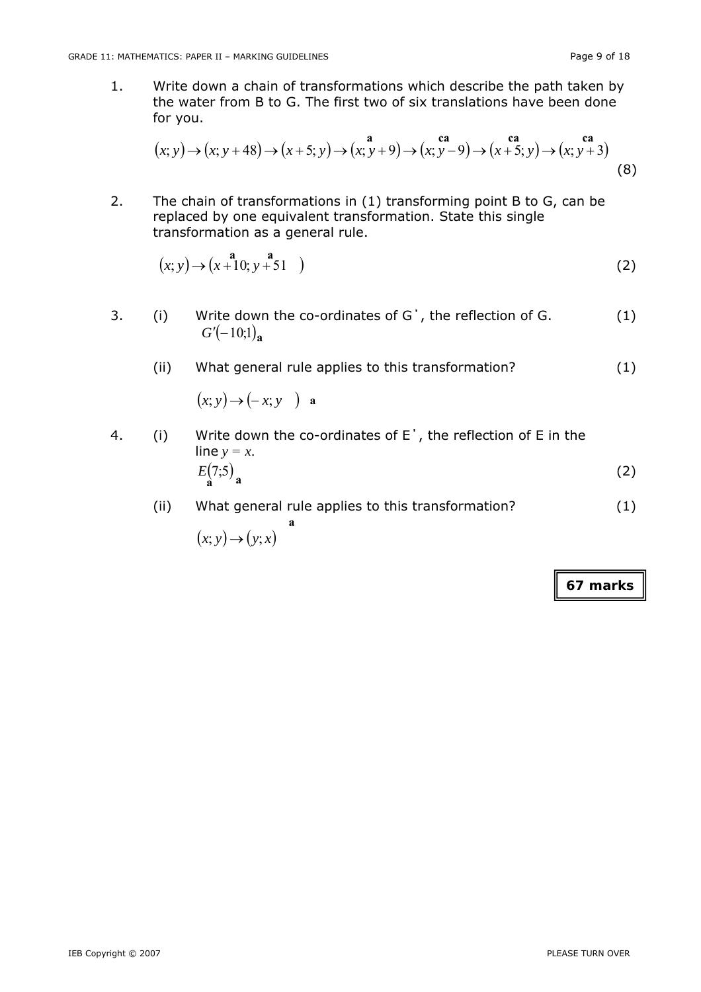1. Write down a chain of transformations which describe the path taken by the water from B to G. The first two of six translations have been done for you.

$$
(x; y) \to (x; y+48) \to (x+5; y) \to (x; y+9) \to (x; y-9) \to (x+5; y) \to (x; y+3)
$$
\n(8)

2. The chain of transformations in (1) transforming point B to G, can be replaced by one equivalent transformation. State this single transformation as a general rule.

$$
(x; y) \rightarrow (x+10; y+51) \tag{2}
$$

- 3. (i) Write down the co-ordinates of G΄, the reflection of G. (1)  $G'(-10;1)$ <sub>a</sub>
	- (ii) What general rule applies to this transformation? (1)  $(x; y) \rightarrow (-x; y)$  **a**
- 4. (i) Write down the co-ordinates of E΄, the reflection of E in the line  $y = x$ .  $E(7,5)$  (2)  $\mathbf{a}^{\prime\prime}$ <sup>2</sup>/<sub>a</sub>
	- (ii) What general rule applies to this transformation? (1)  $(x; y) \rightarrow (y; x)$ **a**

**67 marks**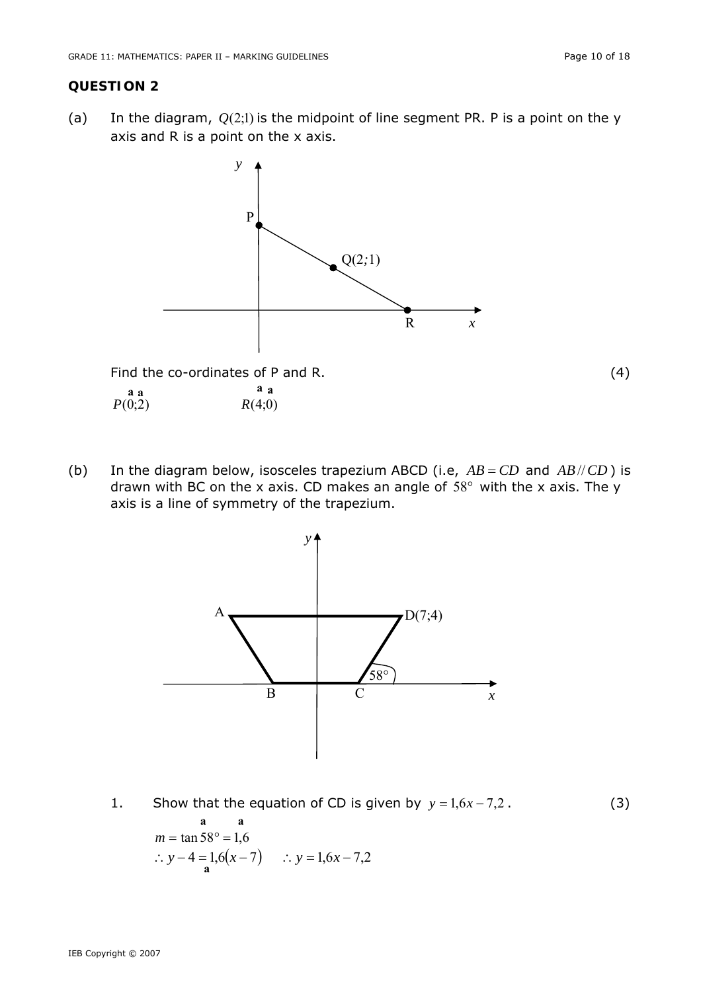$P(0;2)$   $R(4;0)$ 

### **QUESTION 2**

(a) In the diagram,  $Q(2,1)$  is the midpoint of line segment PR. P is a point on the y axis and R is a point on the x axis.



(b) In the diagram below, isosceles trapezium ABCD (i.e,  $AB = CD$  and  $AB/CD$ ) is drawn with BC on the  $x$  axis. CD makes an angle of  $58^\circ$  with the  $x$  axis. The y axis is a line of symmetry of the trapezium.



1. Show that the equation of CD is given by  $y = 1, 6x - 7,2$ . (3)  $m = \tan 58^\circ = 1,6$ **a a**  ∴  $y - 4 = 1,6(x - 7)$  ∴  $y = 1,6x - 7,2$ **a**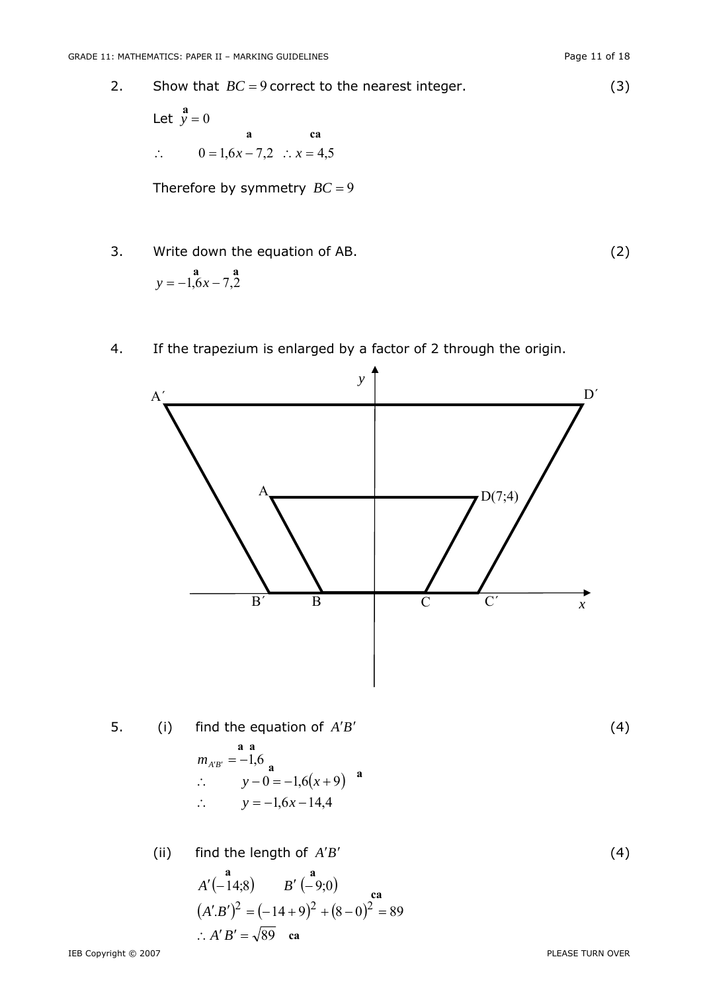A΄

Therefore by symmetry  $BC = 9$ 

3. Write down the equation of AB.  
\n
$$
y = -1, 6x - 7, 2
$$
\n(2)

4. If the trapezium is enlarged by a factor of 2 through the origin.

*y* 



$$
A'(-14,8) \t B'(-9,0)
$$
  
(A'.B')<sup>2</sup> = (-14+9)<sup>2</sup> + (8-0)<sup>2</sup> = 89  
∴ A'B' =  $\sqrt{89}$  ca

IEB Copyright © 2007 PLEASE TURN OVER

D΄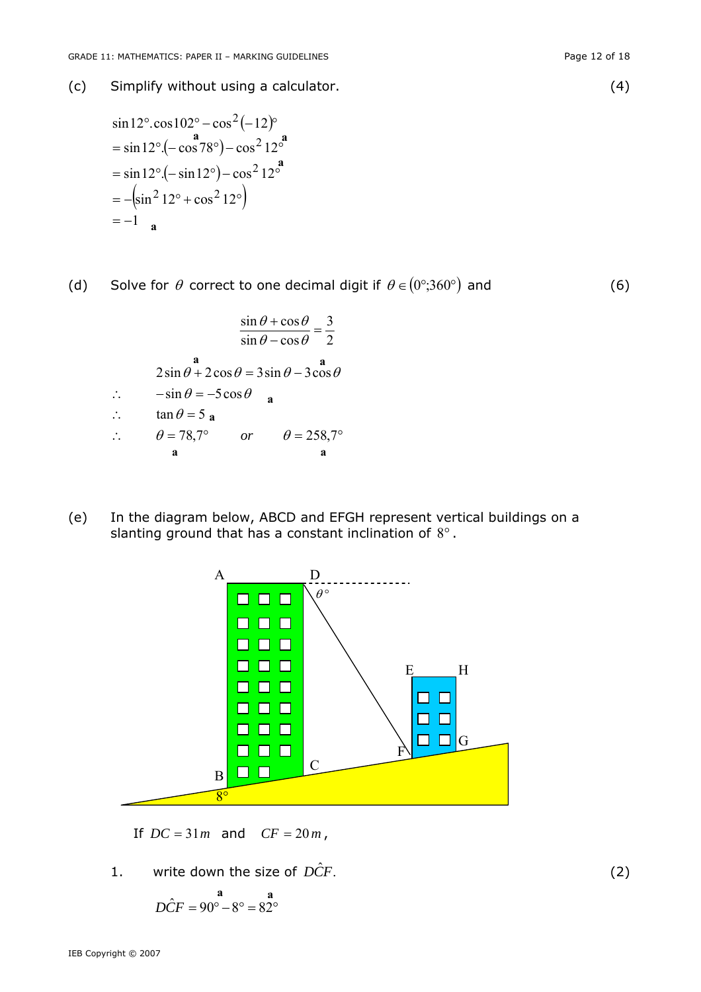(c) Simplify without using a calculator. (4)

$$
\sin 12^{\circ} \cdot \cos 102^{\circ} - \cos^2(-12)^{\circ}
$$
  
=  $\sin 12^{\circ} \cdot (-\cos 78^{\circ}) - \cos^2 12^{\circ}^2$   
=  $\sin 12^{\circ} \cdot (-\sin 12^{\circ}) - \cos^2 12^{\circ}^2$   
=  $-(\sin^2 12^{\circ} + \cos^2 12^{\circ})$   
= -1 a

(d) Solve for  $\theta$  correct to one decimal digit if  $\theta \in (0^{\circ},360^{\circ})$  and (6)

$$
\frac{\sin \theta + \cos \theta}{\sin \theta - \cos \theta} = \frac{3}{2}
$$
  
2 sin θ + 2 cos θ = 3 sin θ - 3 cos θ  
∴  $-\sin \theta = -5 \cos \theta$   
∴  $\tan \theta = 5$ **a**  
∴  $\theta = 78.7^\circ$  or  $\theta = 258.7^\circ$ 

(e) In the diagram below, ABCD and EFGH represent vertical buildings on a slanting ground that has a constant inclination of 8°.



If  $DC = 31m$  and  $CF = 20m$ ,

1. write down the size of  $\hat{DCF}$ . (2)

$$
D\hat{C}F = 90^{\circ} - 8^{\circ} = 82^{\circ}
$$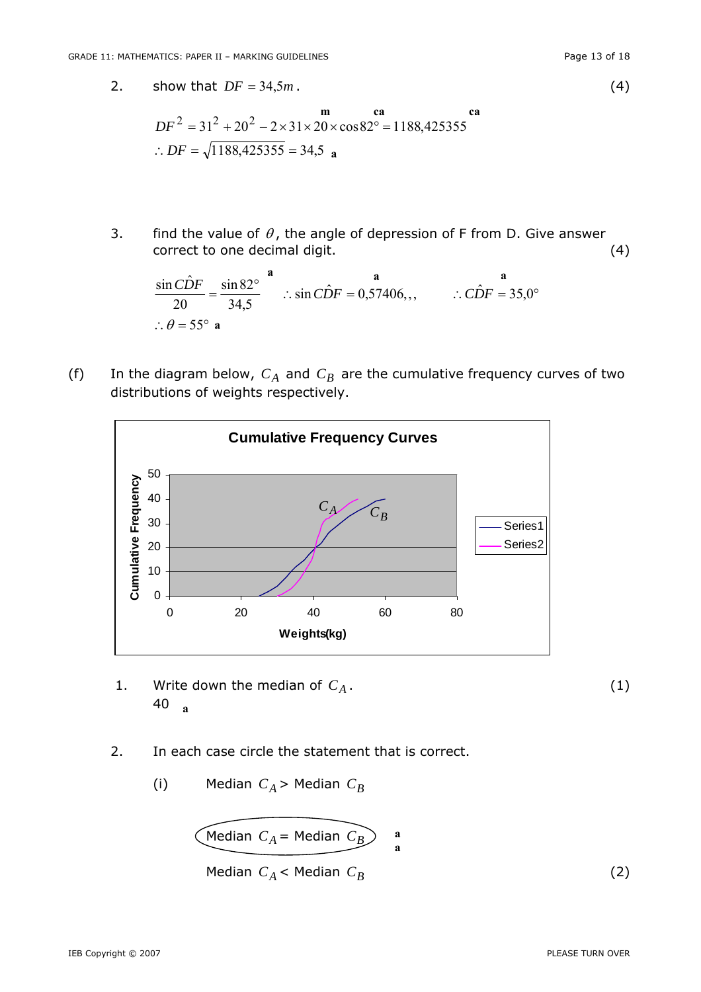2. show that  $DF = 34.5m$ . (4)

$$
DF2 = 312 + 202 – 2 × 31 × 20 × cos 82o = 1188,425355
$$
  
∴ DF =  $\sqrt{1188,425355} = 34.5$  a

3. find the value of  $\theta$ , the angle of depression of F from D. Give answer correct to one decimal digit. (4)

$$
\frac{\sin C\hat{D}F}{20} = \frac{\sin 82^{\circ}}{34,5}
$$
   
  $\therefore$  sin  $C\hat{D}F = 0,57406$ , ,  $\therefore C\hat{D}F = 35,0^{\circ}$   
 $\therefore \theta = 55^{\circ}$  a

(f) In the diagram below,  $C_A$  and  $C_B$  are the cumulative frequency curves of two distributions of weights respectively.



- 1. Write down the median of  $C_A$ .  $(1)$ 40 **<sup>a</sup>**
- 2. In each case circle the statement that is correct.
- (i) Median  $C_A$  > Median  $C_B$

$$
\underbrace{\text{Median } C_A = \text{Median } C_B}_{\text{a}} \qquad \qquad \text{a}}_{\text{a}}
$$
\nMedian  $C_A < \text{Median } C_B$ 

\n(2)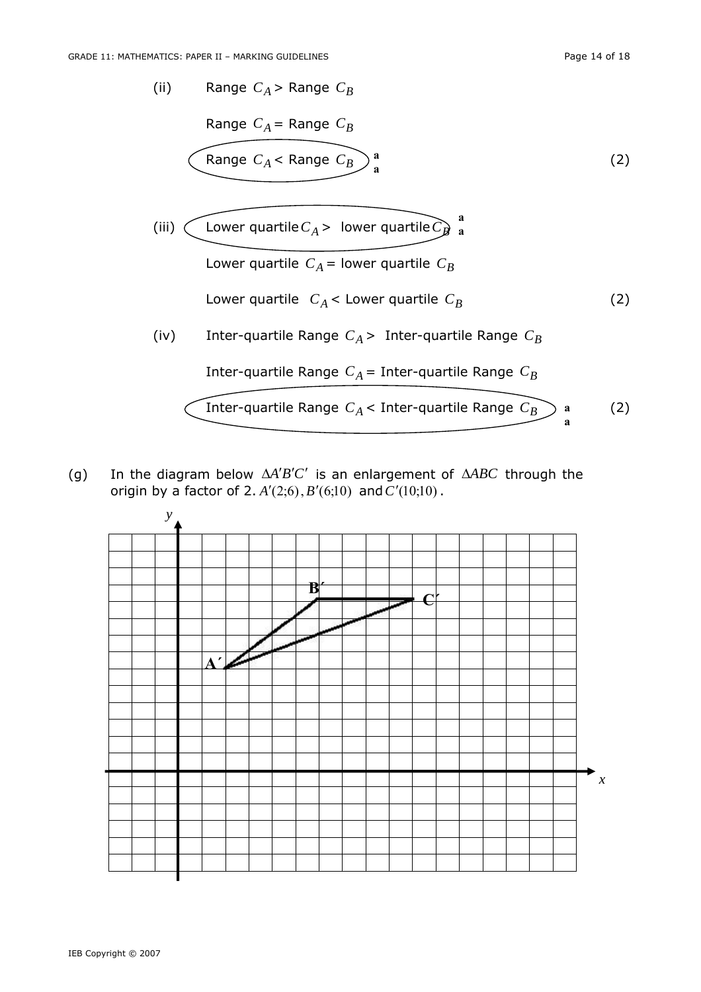(ii) Range 
$$
C_A
$$
 > Range  $C_B$   
\nRange  $C_A$  = Range  $C_B$   
\nRange  $C_A$  < Range  $C_B$   
\na\n(iii)   
\nLower quartile  $C_A$  > lower quartile  $C_B$   
\nLower quartile  $C_A$  = lower quartile  $C_B$   
\nLower quartile  $C_A$  < Lower quartile  $C_B$   
\n(iv) Inter-quartile Range  $C_A$  > Inter-quartile Range  $C_B$   
\nInter-quartile Range  $C_A$  = Inter-quartile Range  $C_B$   
\nInter-quartile Range  $C_A$    
\nInter-quartile Range  $C_A$    
\nthere

(g) In the diagram below  $\Delta A'B'C'$  is an enlargement of  $\Delta ABC$  through the origin by a factor of 2.  $A'(2,6), B'(6,10)$  and  $C'(10,10)$ .

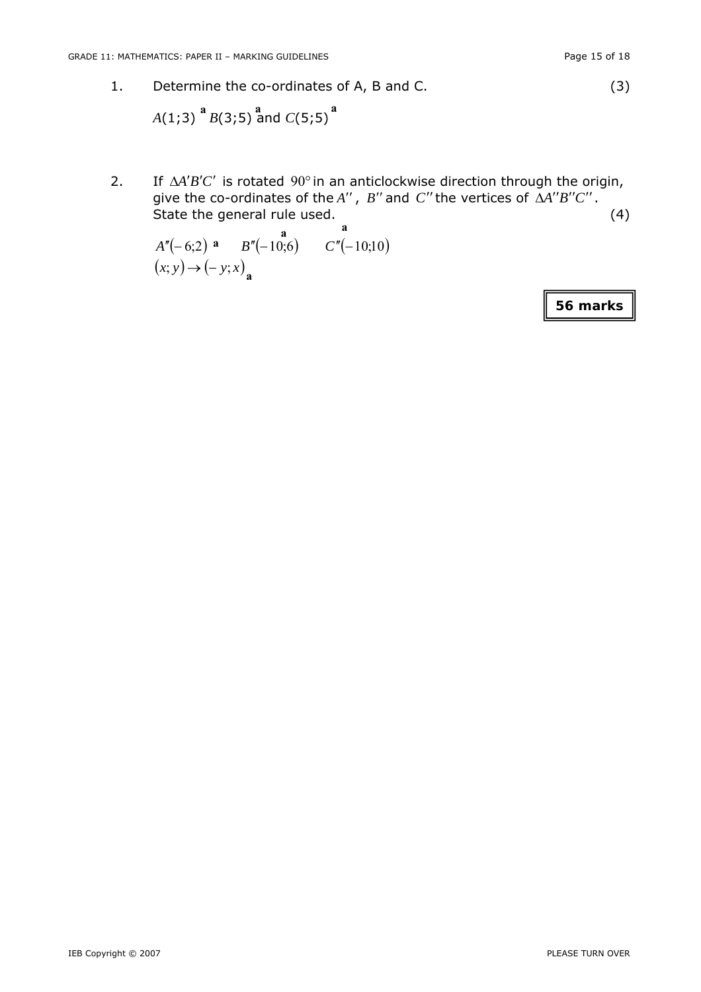1. Determine the co-ordinates of A, B and C. (3)

*A*(1;3)  $^{a}$  *B*(3;5)  $^{a}$  and *C*(5;5)  $^{a}$ 

2. If  $\Delta A'B'C'$  is rotated 90° in an anticlockwise direction through the origin, give the co-ordinates of the  $A''$ ,  $B''$  and  $C''$  the vertices of  $\Delta A''B''C''$ . State the general rule used. (4) **a** 

$$
A''(-6;2) \n a \n B''(-10;6) \n C''(-10;10) \n(x; y) \rightarrow (-y; x)_{\mathbf{a}}
$$

**56 marks**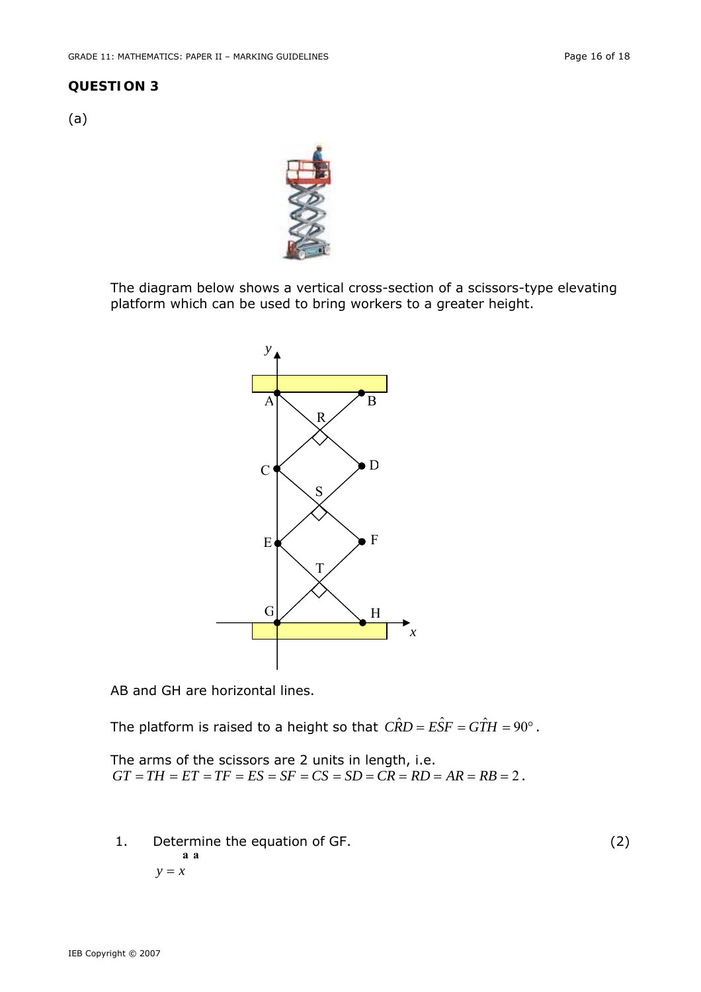#### **QUESTION 3**

(a)



The diagram below shows a vertical cross-section of a scissors-type elevating platform which can be used to bring workers to a greater height.



AB and GH are horizontal lines.

The platform is raised to a height so that  $\hat{CRD}=\hat{EST}=\hat{GTH}=90^\circ$ .

The arms of the scissors are 2 units in length, i.e.  $GT = TH = ET = TF = ES = SF = CS = SD = CR = RD = AR = RB = 2$ .

 1. Determine the equation of GF. (2) *y* = *x* **a a**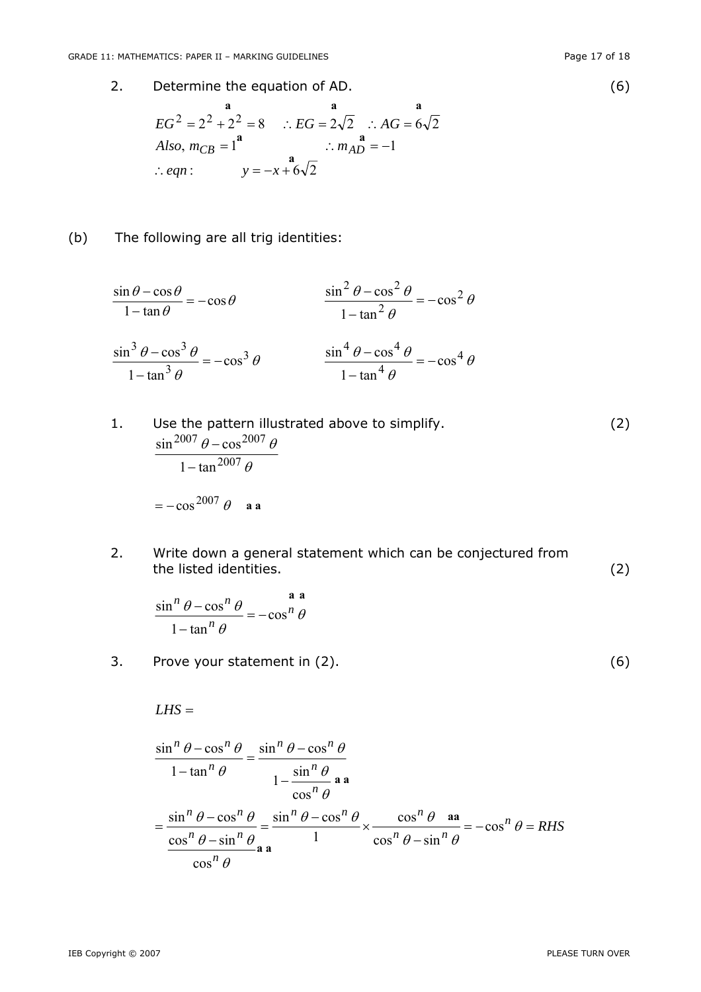IEB Copyright © 2007 PLEASE TURN OVER

2. Determine the equation of AD.  
\n
$$
{}^{a}_{BC} = 2^{2} + 2^{2} = 8 \quad \therefore EG = 2\sqrt{2} \quad \therefore AG = 6\sqrt{2}
$$
\n
$$
Also, m_{CB} = 1^{a} \quad \therefore m_{AD} = -1
$$
\n
$$
\therefore eqn: \quad y = -x + 6\sqrt{2}
$$
\n(6)

(b) The following are all trig identities:

$$
\frac{\sin \theta - \cos \theta}{1 - \tan \theta} = -\cos \theta
$$
\n
$$
\frac{\sin^2 \theta - \cos^2 \theta}{1 - \tan^2 \theta} = -\cos^2 \theta
$$
\n
$$
\frac{\sin^3 \theta - \cos^3 \theta}{1 - \tan^3 \theta} = -\cos^3 \theta
$$
\n
$$
\frac{\sin^4 \theta - \cos^4 \theta}{1 - \tan^4 \theta} = -\cos^4 \theta
$$

1. Use the pattern illustrated above to simplify.  
\n
$$
\frac{\sin^{2007} \theta - \cos^{2007} \theta}{1 - \tan^{2007} \theta}
$$
\n
$$
= -\cos^{2007} \theta
$$
 a a

2. Write down a general statement which can be conjectured from the listed identities. (2)

$$
\frac{\sin^n \theta - \cos^n \theta}{1 - \tan^n \theta} = -\cos^n \theta
$$

3. Prove your statement in (2). (6)

*LHS* =

$$
\frac{\sin^{n} \theta - \cos^{n} \theta}{1 - \tan^{n} \theta} = \frac{\sin^{n} \theta - \cos^{n} \theta}{1 - \frac{\sin^{n} \theta}{\cos^{n} \theta}} = \frac{\sin^{n} \theta - \cos^{n} \theta}{\cos^{n} \theta} = \frac{\sin^{n} \theta - \cos^{n} \theta}{1 - \frac{\cos^{n} \theta}{\cos^{n} \theta}} = \frac{\cos^{n} \theta - \sin^{n} \theta}{\cos^{n} \theta - \sin^{n} \theta} = -\cos^{n} \theta = RHS
$$